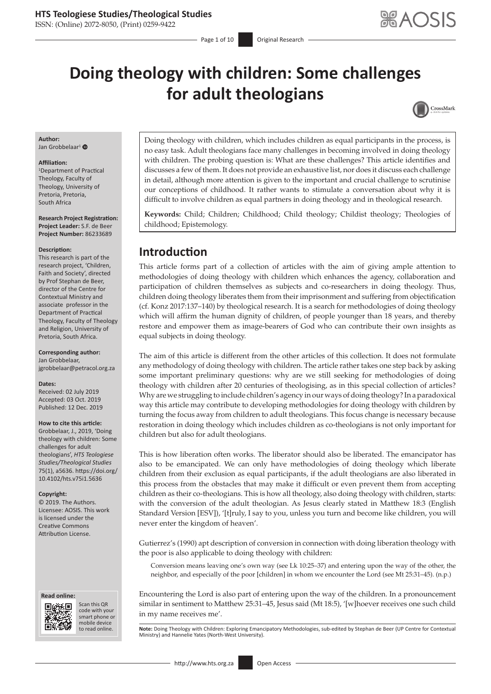ISSN: (Online) 2072-8050, (Print) 0259-9422

# **Doing theology with children: Some challenges for adult theologians**



### **Author:**

Jan Grobbelaar<sup>[1](https://orcid.org/0000-0002-6442-4465)</sup>

#### **Affiliation:**

1 Department of Practical Theology, Faculty of Theology, University of Pretoria, Pretoria, South Africa

**Research Project Registration: Project Leader:** S.F. de Beer **Project Number:** 86233689

#### **Description:**

This research is part of the research project, 'Children, Faith and Society', directed by Prof Stephan de Beer, director of the Centre for Contextual Ministry and associate professor in the Department of Practical Theology, Faculty of Theology and Religion, University of Pretoria, South Africa.

#### **Corresponding author:** Jan Grobbelaar,

[jgrobbelaar@petracol.org.za](mailto:jgrobbelaar@petracol.org.za)

#### **Dates:**

Received: 02 July 2019 Accepted: 03 Oct. 2019 Published: 12 Dec. 2019

#### **How to cite this article:**

Grobbelaar, J., 2019, 'Doing theology with children: Some challenges for adult theologians', *HTS Teologiese Studies/Theological Studies* 75(1), a5636. [https://doi.org/](https://doi.org/10.4102/hts.v75i1.5636) [10.4102/hts.v75i1.5636](https://doi.org/10.4102/hts.v75i1.5636)

#### **Copyright:**

© 2019. The Authors. Licensee: AOSIS. This work is licensed under the Creative Commons Attribution License.

#### **Read online: Read online:**



Scan this QR code with your Scan this QR<br>code with your<br>smart phone or<br>mobile device mobile device to read online.

Doing theology with children, which includes children as equal participants in the process, is no easy task. Adult theologians face many challenges in becoming involved in doing theology with children. The probing question is: What are these challenges? This article identifies and discusses a few of them. It does not provide an exhaustive list, nor does it discuss each challenge in detail, although more attention is given to the important and crucial challenge to scrutinise our conceptions of childhood. It rather wants to stimulate a conversation about why it is difficult to involve children as equal partners in doing theology and in theological research.

**Keywords:** Child; Children; Childhood; Child theology; Childist theology; Theologies of childhood; Epistemology.

# **Introduction**

This article forms part of a collection of articles with the aim of giving ample attention to methodologies of doing theology with children which enhances the agency, collaboration and participation of children themselves as subjects and co-researchers in doing theology. Thus, children doing theology liberates them from their imprisonment and suffering from objectification (cf. Konz 2017:137–140) by theological research. It is a search for methodologies of doing theology which will affirm the human dignity of children, of people younger than 18 years, and thereby restore and empower them as image-bearers of God who can contribute their own insights as equal subjects in doing theology.

The aim of this article is different from the other articles of this collection. It does not formulate any methodology of doing theology with children. The article rather takes one step back by asking some important preliminary questions: why are we still seeking for methodologies of doing theology with children after 20 centuries of theologising, as in this special collection of articles? Why are we struggling to include children's agency in our ways of doing theology? In a paradoxical way this article may contribute to developing methodologies for doing theology with children by turning the focus away from children to adult theologians. This focus change is necessary because restoration in doing theology which includes children as co-theologians is not only important for children but also for adult theologians.

This is how liberation often works. The liberator should also be liberated. The emancipator has also to be emancipated. We can only have methodologies of doing theology which liberate children from their exclusion as equal participants, if the adult theologians are also liberated in this process from the obstacles that may make it difficult or even prevent them from accepting children as their co-theologians. This is how all theology, also doing theology with children, starts: with the conversion of the adult theologian. As Jesus clearly stated in Matthew 18:3 (English Standard Version [ESV]), '[t]ruly, I say to you, unless you turn and become like children, you will never enter the kingdom of heaven'.

Gutierrez's (1990) apt description of conversion in connection with doing liberation theology with the poor is also applicable to doing theology with children:

Conversion means leaving one's own way (see Lk 10:25–37) and entering upon the way of the other, the neighbor, and especially of the poor [children] in whom we encounter the Lord (see Mt 25:31–45). (n.p.)

Encountering the Lord is also part of entering upon the way of the children. In a pronouncement similar in sentiment to Matthew 25:31–45, Jesus said (Mt 18:5), '[w]hoever receives one such child in my name receives me'.

Note: Doing Theology with Children: Exploring Emancipatory Methodologies, sub-edited by Stephan de Beer (UP Centre for Contextual Ministry) and Hannelie Yates (North-West University).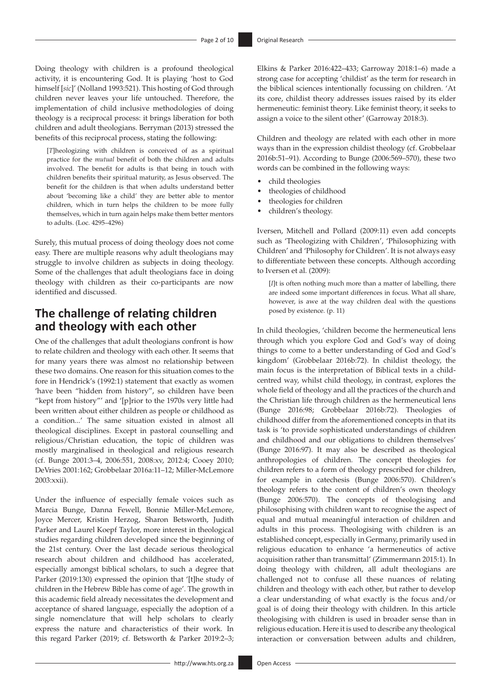Doing theology with children is a profound theological activity, it is encountering God. It is playing 'host to God himself [*sic*]' (Nolland 1993:521). This hosting of God through children never leaves your life untouched. Therefore, the implementation of child inclusive methodologies of doing theology is a reciprocal process: it brings liberation for both children and adult theologians. Berryman (2013) stressed the benefits of this reciprocal process, stating the following:

[*T*]heologizing with children is conceived of as a spiritual practice for the *mutual* benefit of both the children and adults involved. The benefit for adults is that being in touch with children benefits their spiritual maturity, as Jesus observed. The benefit for the children is that when adults understand better about 'becoming like a child' they are better able to mentor children, which in turn helps the children to be more fully themselves, which in turn again helps make them better mentors to adults. (Loc. 4295–4296)

Surely, this mutual process of doing theology does not come easy. There are multiple reasons why adult theologians may struggle to involve children as subjects in doing theology. Some of the challenges that adult theologians face in doing theology with children as their co-participants are now identified and discussed.

# **The challenge of relating children and theology with each other**

One of the challenges that adult theologians confront is how to relate children and theology with each other. It seems that for many years there was almost no relationship between these two domains. One reason for this situation comes to the fore in Hendrick's (1992:1) statement that exactly as women 'have been "hidden from history", so children have been "kept from history"' and '[p]rior to the 1970s very little had been written about either children as people or childhood as a condition...' The same situation existed in almost all theological disciplines. Except in pastoral counselling and religious/Christian education, the topic of children was mostly marginalised in theological and religious research (cf. Bunge 2001:3–4, 2006:551, 2008:xv, 2012:4; Cooey 2010; DeVries 2001:162; Grobbelaar 2016a:11–12; Miller-McLemore 2003:xxii).

Under the influence of especially female voices such as Marcia Bunge, Danna Fewell, Bonnie Miller-McLemore, Joyce Mercer, Kristin Herzog, Sharon Betsworth, Judith Parker and Laurel Koepf Taylor, more interest in theological studies regarding children developed since the beginning of the 21st century. Over the last decade serious theological research about children and childhood has accelerated, especially amongst biblical scholars, to such a degree that Parker (2019:130) expressed the opinion that '[t]he study of children in the Hebrew Bible has come of age'. The growth in this academic field already necessitates the development and acceptance of shared language, especially the adoption of a single nomenclature that will help scholars to clearly express the nature and characteristics of their work. In this regard Parker (2019; cf. Betsworth & Parker 2019:2–3;

Elkins & Parker 2016:422–433; Garroway 2018:1–6) made a strong case for accepting 'childist' as the term for research in the biblical sciences intentionally focussing on children. 'At its core, childist theory addresses issues raised by its elder hermeneutic: feminist theory. Like feminist theory, it seeks to assign a voice to the silent other' (Garroway 2018:3).

Children and theology are related with each other in more ways than in the expression childist theology (cf. Grobbelaar 2016b:51–91). According to Bunge (2006:569–570), these two words can be combined in the following ways:

- child theologies
- theologies of childhood
- theologies for children
- children's theology.

Iversen, Mitchell and Pollard (2009:11) even add concepts such as 'Theologizing with Children', 'Philosophizing with Children' and 'Philosophy for Children'. It is not always easy to differentiate between these concepts. Although according to Iversen et al. (2009):

[*I*]t is often nothing much more than a matter of labelling, there are indeed some important differences in focus. What all share, however, is awe at the way children deal with the questions posed by existence. (p. 11)

In child theologies, 'children become the hermeneutical lens through which you explore God and God's way of doing things to come to a better understanding of God and God's kingdom' (Grobbelaar 2016b:72). In childist theology, the main focus is the interpretation of Biblical texts in a childcentred way, whilst child theology, in contrast, explores the whole field of theology and all the practices of the church and the Christian life through children as the hermeneutical lens (Bunge 2016:98; Grobbelaar 2016b:72). Theologies of childhood differ from the aforementioned concepts in that its task is 'to provide sophisticated understandings of children and childhood and our obligations to children themselves' (Bunge 2016:97). It may also be described as theological anthropologies of children. The concept theologies for children refers to a form of theology prescribed for children, for example in catechesis (Bunge 2006:570). Children's theology refers to the content of children's own theology (Bunge 2006:570). The concepts of theologising and philosophising with children want to recognise the aspect of equal and mutual meaningful interaction of children and adults in this process. Theologising with children is an established concept, especially in Germany, primarily used in religious education to enhance 'a hermeneutics of active acquisition rather than transmittal' (Zimmermann 2015:1). In doing theology with children, all adult theologians are challenged not to confuse all these nuances of relating children and theology with each other, but rather to develop a clear understanding of what exactly is the focus and/or goal is of doing their theology with children. In this article theologising with children is used in broader sense than in religious education. Here it is used to describe any theological interaction or conversation between adults and children,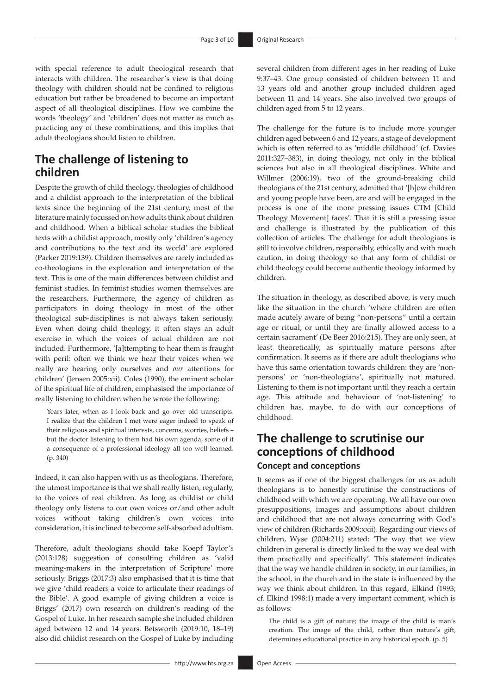with special reference to adult theological research that interacts with children. The researcher's view is that doing theology with children should not be confined to religious education but rather be broadened to become an important aspect of all theological disciplines. How we combine the words 'theology' and 'children' does not matter as much as practicing any of these combinations, and this implies that adult theologians should listen to children.

# **The challenge of listening to children**

Despite the growth of child theology, theologies of childhood and a childist approach to the interpretation of the biblical texts since the beginning of the 21st century, most of the literature mainly focussed on how adults think about children and childhood. When a biblical scholar studies the biblical texts with a childist approach, mostly only 'children's agency and contributions to the text and its world' are explored (Parker 2019:139). Children themselves are rarely included as co-theologians in the exploration and interpretation of the text. This is one of the main differences between childist and feminist studies. In feminist studies women themselves are the researchers. Furthermore, the agency of children as participators in doing theology in most of the other theological sub-disciplines is not always taken seriously. Even when doing child theology, it often stays an adult exercise in which the voices of actual children are not included. Furthermore, '[a]ttempting to hear them is fraught with peril: often we think we hear their voices when we really are hearing only ourselves and *our* attentions for children' (Jensen 2005:xii). Coles (1990), the eminent scholar of the spiritual life of children, emphasised the importance of really listening to children when he wrote the following:

Years later, when as I look back and go over old transcripts. I realize that the children I met were eager indeed to speak of their religious and spiritual interests, concerns, worries, beliefs – but the doctor listening to them had his own agenda, some of it a consequence of a professional ideology all too well learned. (p. 340)

Indeed, it can also happen with us as theologians. Therefore, the utmost importance is that we shall really listen, regularly, to the voices of real children. As long as childist or child theology only listens to our own voices or/and other adult voices without taking children's own voices into consideration, it is inclined to become self-absorbed adultism.

Therefore, adult theologians should take Koepf Taylor's (2013:128) suggestion of consulting children as 'valid meaning-makers in the interpretation of Scripture' more seriously. Briggs (2017:3) also emphasised that it is time that we give 'child readers a voice to articulate their readings of the Bible'. A good example of giving children a voice is Briggs' (2017) own research on children's reading of the Gospel of Luke. In her research sample she included children aged between 12 and 14 years. Betsworth (2019:10, 18–19) also did childist research on the Gospel of Luke by including several children from different ages in her reading of Luke 9:37–43. One group consisted of children between 11 and 13 years old and another group included children aged between 11 and 14 years. She also involved two groups of children aged from 5 to 12 years.

The challenge for the future is to include more younger children aged between 6 and 12 years, a stage of development which is often referred to as 'middle childhood' (cf. Davies 2011:327–383), in doing theology, not only in the biblical sciences but also in all theological disciplines. White and Willmer (2006:19), two of the ground-breaking child theologians of the 21st century, admitted that '[h]ow children and young people have been, are and will be engaged in the process is one of the more pressing issues CTM [Child Theology Movement] faces'. That it is still a pressing issue and challenge is illustrated by the publication of this collection of articles. The challenge for adult theologians is still to involve children, responsibly, ethically and with much caution, in doing theology so that any form of childist or child theology could become authentic theology informed by children.

The situation in theology, as described above, is very much like the situation in the church 'where children are often made acutely aware of being "non-persons" until a certain age or ritual, or until they are finally allowed access to a certain sacrament' (De Beer 2016:215). They are only seen, at least theoretically, as spiritually mature persons after confirmation. It seems as if there are adult theologians who have this same orientation towards children: they are 'nonpersons' or 'non-theologians', spiritually not matured. Listening to them is not important until they reach a certain age. This attitude and behaviour of 'not-listening' to children has, maybe, to do with our conceptions of childhood.

# **The challenge to scrutinise our conceptions of childhood Concept and conceptions**

It seems as if one of the biggest challenges for us as adult theologians is to honestly scrutinise the constructions of childhood with which we are operating. We all have our own presuppositions, images and assumptions about children and childhood that are not always concurring with God's view of children (Richards 2009:xxii). Regarding our views of children, Wyse (2004:211) stated: 'The way that we view children in general is directly linked to the way we deal with them practically and specifically'. This statement indicates that the way we handle children in society, in our families, in the school, in the church and in the state is influenced by the way we think about children. In this regard, Elkind (1993; cf. Elkind 1998:1) made a very important comment, which is as follows:

The child is a gift of nature; the image of the child is man's creation. The image of the child, rather than nature's gift, determines educational practice in any historical epoch. (p. 5)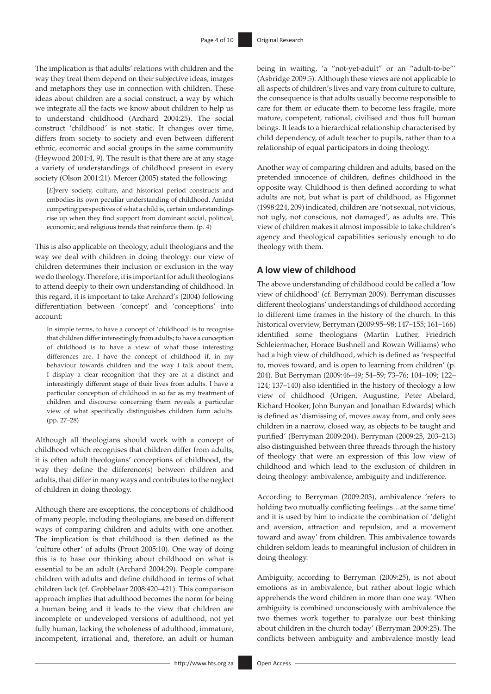The implication is that adults' relations with children and the way they treat them depend on their subjective ideas, images and metaphors they use in connection with children. These ideas about children are a social construct, a way by which we integrate all the facts we know about children to help us to understand childhood (Archard 2004:25). The social construct 'childhood' is not static. It changes over time, differs from society to society and even between different ethnic, economic and social groups in the same community (Heywood 2001:4, 9). The result is that there are at any stage a variety of understandings of childhood present in every society (Olson 2001:21). Mercer (2005) stated the following:

[*E*]very society, culture, and historical period constructs and embodies its own peculiar understanding of childhood. Amidst competing perspectives of what a child is, certain understandings rise up when they find support from dominant social, political, economic, and religious trends that reinforce them. (p. 4)

This is also applicable on theology, adult theologians and the way we deal with children in doing theology: our view of children determines their inclusion or exclusion in the way we do theology. Therefore, it is important for adult theologians to attend deeply to their own understanding of childhood. In this regard, it is important to take Archard's (2004) following differentiation between 'concept' and 'conceptions' into account:

In simple terms, to have a concept of 'childhood' is to recognise that children differ interestingly from adults; to have a conception of childhood is to have a view of what those interesting differences are. I have the concept of childhood if, in my behaviour towards children and the way I talk about them, I display a clear recognition that they are at a distinct and interestingly different stage of their lives from adults. I have a particular conception of childhood in so far as my treatment of children and discourse concerning them reveals a particular view of what specifically distinguishes children form adults. (pp. 27–28)

Although all theologians should work with a concept of childhood which recognises that children differ from adults, it is often adult theologians' conceptions of childhood, the way they define the difference(s) between children and adults, that differ in many ways and contributes to the neglect of children in doing theology.

Although there are exceptions, the conceptions of childhood of many people, including theologians, are based on different ways of comparing children and adults with one another. The implication is that childhood is then defined as the 'culture other' of adults (Prout 2005:10). One way of doing this is to base our thinking about childhood on what is essential to be an adult (Archard 2004:29). People compare children with adults and define childhood in terms of what children lack (cf. Grobbelaar 2008:420–421). This comparison approach implies that adulthood becomes the norm for being a human being and it leads to the view that children are incomplete or undeveloped versions of adulthood, not yet fully human, lacking the wholeness of adulthood, immature, incompetent, irrational and, therefore, an adult or human

being in waiting, 'a "not-yet-adult" or an "adult-to-be"' (Asbridge 2009:5). Although these views are not applicable to all aspects of children's lives and vary from culture to culture, the consequence is that adults usually become responsible to care for them or educate them to become less fragile, more mature, competent, rational, civilised and thus full human beings. It leads to a hierarchical relationship characterised by child dependency, of adult teacher to pupils, rather than to a relationship of equal participators in doing theology.

Another way of comparing children and adults, based on the pretended innocence of children, defines childhood in the opposite way. Childhood is then defined according to what adults are not, but what is part of childhood, as Higonnet (1998:224, 209) indicated, children are 'not sexual, not vicious, not ugly, not conscious, not damaged', as adults are. This view of children makes it almost impossible to take children's agency and theological capabilities seriously enough to do theology with them.

### **A low view of childhood**

The above understanding of childhood could be called a 'low view of childhood' (cf. Berryman 2009). Berryman discusses different theologians' understandings of childhood according to different time frames in the history of the church. In this historical overview, Berryman (2009:95–98; 147–155; 161–166) identified some theologians (Martin Luther, Friedrich Schleiermacher, Horace Bushnell and Rowan Williams) who had a high view of childhood, which is defined as 'respectful to, moves toward, and is open to learning from children' (p. 204). But Berryman (2009:46–49; 54–59; 73–76; 104–109; 122– 124; 137–140) also identified in the history of theology a low view of childhood (Origen, Augustine, Peter Abelard, Richard Hooker, John Bunyan and Jonathan Edwards) which is defined as 'dismissing of, moves away from, and only sees children in a narrow, closed way, as objects to be taught and purified' (Berryman 2009:204). Berryman (2009:25, 203–213) also distinguished between three threads through the history of theology that were an expression of this low view of childhood and which lead to the exclusion of children in doing theology: ambivalence, ambiguity and indifference.

According to Berryman (2009:203), ambivalence 'refers to holding two mutually conflicting feelings…at the same time' and it is used by him to indicate the combination of 'delight and aversion, attraction and repulsion, and a movement toward and away' from children. This ambivalence towards children seldom leads to meaningful inclusion of children in doing theology.

Ambiguity, according to Berryman (2009:25), is not about emotions as in ambivalence, but rather about logic which apprehends the word children in more than one way. 'When ambiguity is combined unconsciously with ambivalence the two themes work together to paralyze our best thinking about children in the church today' (Berryman 2009:25). The conflicts between ambiguity and ambivalence mostly lead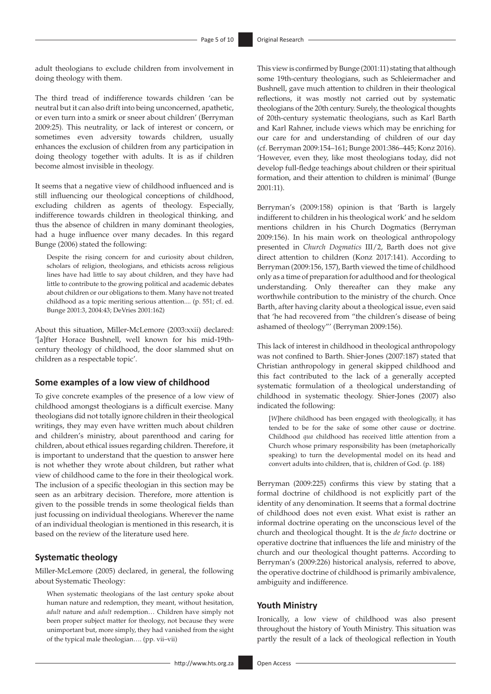adult theologians to exclude children from involvement in doing theology with them.

The third tread of indifference towards children 'can be neutral but it can also drift into being unconcerned, apathetic, or even turn into a smirk or sneer about children' (Berryman 2009:25). This neutrality, or lack of interest or concern, or sometimes even adversity towards children, usually enhances the exclusion of children from any participation in doing theology together with adults. It is as if children become almost invisible in theology.

It seems that a negative view of childhood influenced and is still influencing our theological conceptions of childhood, excluding children as agents of theology. Especially, indifference towards children in theological thinking, and thus the absence of children in many dominant theologies, had a huge influence over many decades. In this regard Bunge (2006) stated the following:

Despite the rising concern for and curiosity about children, scholars of religion, theologians, and ethicists across religious lines have had little to say about children, and they have had little to contribute to the growing political and academic debates about children or our obligations to them. Many have not treated childhood as a topic meriting serious attention.... (p. 551; cf. ed. Bunge 2001:3, 2004:43; DeVries 2001:162)

About this situation, Miller-McLemore (2003:xxii) declared: '[a]fter Horace Bushnell, well known for his mid-19thcentury theology of childhood, the door slammed shut on children as a respectable topic'.

### **Some examples of a low view of childhood**

To give concrete examples of the presence of a low view of childhood amongst theologians is a difficult exercise. Many theologians did not totally ignore children in their theological writings, they may even have written much about children and children's ministry, about parenthood and caring for children, about ethical issues regarding children. Therefore, it is important to understand that the question to answer here is not whether they wrote about children, but rather what view of childhood came to the fore in their theological work. The inclusion of a specific theologian in this section may be seen as an arbitrary decision. Therefore, more attention is given to the possible trends in some theological fields than just focussing on individual theologians. Wherever the name of an individual theologian is mentioned in this research, it is based on the review of the literature used here.

### **Systematic theology**

Miller-McLemore (2005) declared, in general, the following about Systematic Theology:

When systematic theologians of the last century spoke about human nature and redemption, they meant, without hesitation, *adult* nature and *adult* redemption… Children have simply not been proper subject matter for theology, not because they were unimportant but, more simply, they had vanished from the sight of the typical male theologian…. (pp. vii–vii)

This view is confirmed by Bunge (2001:11) stating that although some 19th-century theologians, such as Schleiermacher and Bushnell, gave much attention to children in their theological reflections, it was mostly not carried out by systematic theologians of the 20th century. Surely, the theological thoughts of 20th-century systematic theologians, such as Karl Barth and Karl Rahner, include views which may be enriching for our care for and understanding of children of our day (cf. Berryman 2009:154–161; Bunge 2001:386–445; Konz 2016). 'However, even they, like most theologians today, did not develop full-fledge teachings about children or their spiritual formation, and their attention to children is minimal' (Bunge 2001:11).

Berryman's (2009:158) opinion is that 'Barth is largely indifferent to children in his theological work' and he seldom mentions children in his Church Dogmatics (Berryman 2009:156). In his main work on theological anthropology presented in *Church Dogmatics* III/2, Barth does not give direct attention to children (Konz 2017:141). According to Berryman (2009:156, 157), Barth viewed the time of childhood only as a time of preparation for adulthood and for theological understanding. Only thereafter can they make any worthwhile contribution to the ministry of the church. Once Barth, after having clarity about a theological issue, even said that 'he had recovered from "the children's disease of being ashamed of theology"' (Berryman 2009:156).

This lack of interest in childhood in theological anthropology was not confined to Barth. Shier-Jones (2007:187) stated that Christian anthropology in general skipped childhood and this fact contributed to the lack of a generally accepted systematic formulation of a theological understanding of childhood in systematic theology. Shier-Jones (2007) also indicated the following:

[*W*]here childhood has been engaged with theologically, it has tended to be for the sake of some other cause or doctrine. Childhood *qua* childhood has received little attention from a Church whose primary responsibility has been (metaphorically speaking) to turn the developmental model on its head and convert adults into children, that is, children of God. (p. 188)

Berryman (2009:225) confirms this view by stating that a formal doctrine of childhood is not explicitly part of the identity of any denomination. It seems that a formal doctrine of childhood does not even exist. What exist is rather an informal doctrine operating on the unconscious level of the church and theological thought. It is the *de facto* doctrine or operative doctrine that influences the life and ministry of the church and our theological thought patterns. According to Berryman's (2009:226) historical analysis, referred to above, the operative doctrine of childhood is primarily ambivalence, ambiguity and indifference.

### **Youth Ministry**

Ironically, a low view of childhood was also present throughout the history of Youth Ministry. This situation was partly the result of a lack of theological reflection in Youth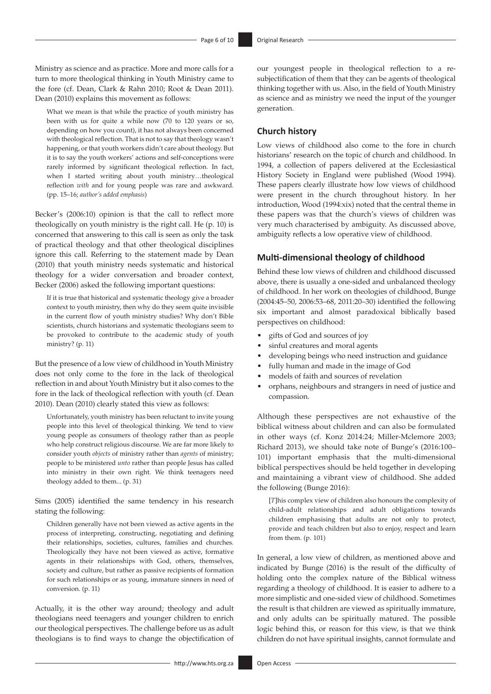Ministry as science and as practice. More and more calls for a turn to more theological thinking in Youth Ministry came to the fore (cf. Dean, Clark & Rahn 2010; Root & Dean 2011). Dean (2010) explains this movement as follows:

What we mean is that while the practice of youth ministry has been with us for quite a while now (70 to 120 years or so, depending on how you count), it has not always been concerned with theological reflection. That is not to say that theology wasn't happening, or that youth workers didn't care about theology. But it is to say the youth workers' actions and self-conceptions were rarely informed by significant theological reflection. In fact, when I started writing about youth ministry…theological reflection *with* and for young people was rare and awkward. (pp. 15–16; *author's added emphasis*)

Becker's (2006:10) opinion is that the call to reflect more theologically on youth ministry is the right call. He (p. 10) is concerned that answering to this call is seen as only the task of practical theology and that other theological disciplines ignore this call. Referring to the statement made by Dean (2010) that youth ministry needs systematic and historical theology for a wider conversation and broader context, Becker (2006) asked the following important questions:

If it is true that historical and systematic theology give a broader context to youth ministry, then why do they seem quite invisible in the current flow of youth ministry studies? Why don't Bible scientists, church historians and systematic theologians seem to be provoked to contribute to the academic study of youth ministry? (p. 11)

But the presence of a low view of childhood in Youth Ministry does not only come to the fore in the lack of theological reflection in and about Youth Ministry but it also comes to the fore in the lack of theological reflection with youth (cf. Dean 2010). Dean (2010) clearly stated this view as follows:

Unfortunately, youth ministry has been reluctant to invite young people into this level of theological thinking. We tend to view young people as consumers of theology rather than as people who help construct religious discourse. We are far more likely to consider youth *objects* of ministry rather than *agents* of ministry; people to be ministered *unto* rather than people Jesus has called into ministry in their own right. We think teenagers need theology added to them... (p. 31)

Sims (2005) identified the same tendency in his research stating the following:

Children generally have not been viewed as active agents in the process of interpreting, constructing, negotiating and defining their relationships, societies, cultures, families and churches. Theologically they have not been viewed as active, formative agents in their relationships with God, others, themselves, society and culture, but rather as passive recipients of formation for such relationships or as young, immature sinners in need of conversion. (p. 11)

Actually, it is the other way around; theology and adult theologians need teenagers and younger children to enrich our theological perspectives. The challenge before us as adult theologians is to find ways to change the objectification of our youngest people in theological reflection to a resubjectification of them that they can be agents of theological thinking together with us. Also, in the field of Youth Ministry as science and as ministry we need the input of the younger generation.

### **Church history**

Low views of childhood also come to the fore in church historians' research on the topic of church and childhood. In 1994, a collection of papers delivered at the Ecclesiastical History Society in England were published (Wood 1994). These papers clearly illustrate how low views of childhood were present in the church throughout history. In her introduction, Wood (1994:xix) noted that the central theme in these papers was that the church's views of children was very much characterised by ambiguity. As discussed above, ambiguity reflects a low operative view of childhood.

### **Multi-dimensional theology of childhood**

Behind these low views of children and childhood discussed above, there is usually a one-sided and unbalanced theology of childhood. In her work on theologies of childhood, Bunge (2004:45–50, 2006:53–68, 2011:20–30) identified the following six important and almost paradoxical biblically based perspectives on childhood:

- gifts of God and sources of joy
- sinful creatures and moral agents
- developing beings who need instruction and guidance
- fully human and made in the image of God
- models of faith and sources of revelation
- orphans, neighbours and strangers in need of justice and compassion.

Although these perspectives are not exhaustive of the biblical witness about children and can also be formulated in other ways (cf. Konz 2014:24; Miller-Mclemore 2003; Richard 2013), we should take note of Bunge's (2016:100– 101) important emphasis that the multi-dimensional biblical perspectives should be held together in developing and maintaining a vibrant view of childhood. She added the following (Bunge 2016):

[*T*]his complex view of children also honours the complexity of child-adult relationships and adult obligations towards children emphasising that adults are not only to protect, provide and teach children but also to enjoy, respect and learn from them. (p. 101)

In general, a low view of children, as mentioned above and indicated by Bunge (2016) is the result of the difficulty of holding onto the complex nature of the Biblical witness regarding a theology of childhood. It is easier to adhere to a more simplistic and one-sided view of childhood. Sometimes the result is that children are viewed as spiritually immature, and only adults can be spiritually matured. The possible logic behind this, or reason for this view, is that we think children do not have spiritual insights, cannot formulate and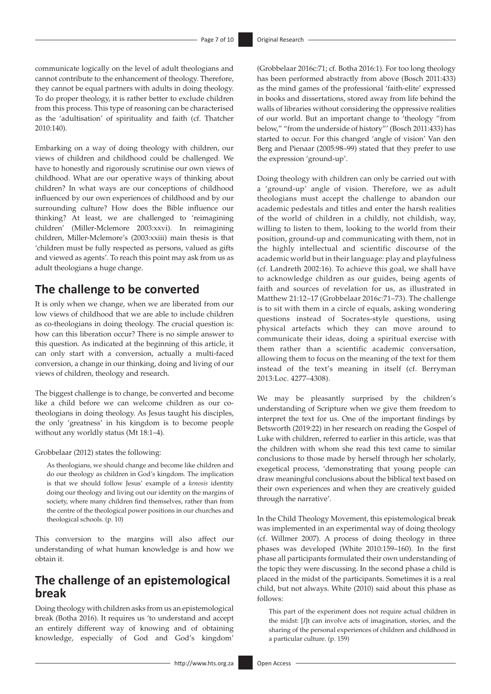communicate logically on the level of adult theologians and cannot contribute to the enhancement of theology. Therefore, they cannot be equal partners with adults in doing theology. To do proper theology, it is rather better to exclude children from this process. This type of reasoning can be characterised as the 'adultisation' of spirituality and faith (cf. Thatcher 2010:140).

Embarking on a way of doing theology with children, our views of children and childhood could be challenged. We have to honestly and rigorously scrutinise our own views of childhood. What are our operative ways of thinking about children? In what ways are our conceptions of childhood influenced by our own experiences of childhood and by our surrounding culture? How does the Bible influence our thinking? At least, we are challenged to 'reimagining children' (Miller-Mclemore 2003:xxvi). In reimagining children, Miller-Mclemore's (2003:xxiii) main thesis is that 'children must be fully respected as persons, valued as gifts and viewed as agents'. To reach this point may ask from us as adult theologians a huge change.

# **The challenge to be converted**

It is only when we change, when we are liberated from our low views of childhood that we are able to include children as co-theologians in doing theology. The crucial question is: how can this liberation occur? There is no simple answer to this question. As indicated at the beginning of this article, it can only start with a conversion, actually a multi-faced conversion, a change in our thinking, doing and living of our views of children, theology and research.

The biggest challenge is to change, be converted and become like a child before we can welcome children as our cotheologians in doing theology. As Jesus taught his disciples, the only 'greatness' in his kingdom is to become people without any worldly status (Mt 18:1–4).

Grobbelaar (2012) states the following:

As theologians, we should change and become like children and do our theology as children in God's kingdom. The implication is that we should follow Jesus' example of a *kenosis* identity doing our theology and living out our identity on the margins of society, where many children find themselves, rather than from the centre of the theological power positions in our churches and theological schools. (p. 10)

This conversion to the margins will also affect our understanding of what human knowledge is and how we obtain it.

# **The challenge of an epistemological break**

Doing theology with children asks from us an epistemological break (Botha 2016). It requires us 'to understand and accept an entirely different way of knowing and of obtaining knowledge, especially of God and God's kingdom'

(Grobbelaar 2016c:71; cf. Botha 2016:1). For too long theology has been performed abstractly from above (Bosch 2011:433) as the mind games of the professional 'faith-elite' expressed in books and dissertations, stored away from life behind the walls of libraries without considering the oppressive realities of our world. But an important change to 'theology "from below," "from the underside of history"' (Bosch 2011:433) has started to occur. For this changed 'angle of vision' Van den Berg and Pienaar (2005:98–99) stated that they prefer to use the expression 'ground-up'.

Doing theology with children can only be carried out with a 'ground-up' angle of vision. Therefore, we as adult theologians must accept the challenge to abandon our academic pedestals and titles and enter the harsh realities of the world of children in a childly, not childish, way, willing to listen to them, looking to the world from their position, ground-up and communicating with them, not in the highly intellectual and scientific discourse of the academic world but in their language: play and playfulness (cf. Landreth 2002:16). To achieve this goal, we shall have to acknowledge children as our guides, being agents of faith and sources of revelation for us, as illustrated in Matthew 21:12–17 (Grobbelaar 2016c:71–73). The challenge is to sit with them in a circle of equals, asking wondering questions instead of Socrates-style questions, using physical artefacts which they can move around to communicate their ideas, doing a spiritual exercise with them rather than a scientific academic conversation, allowing them to focus on the meaning of the text for them instead of the text's meaning in itself (cf. Berryman 2013:Loc. 4277–4308).

We may be pleasantly surprised by the children's understanding of Scripture when we give them freedom to interpret the text for us. One of the important findings by Betsworth (2019:22) in her research on reading the Gospel of Luke with children, referred to earlier in this article, was that the children with whom she read this text came to similar conclusions to those made by herself through her scholarly, exegetical process, 'demonstrating that young people can draw meaningful conclusions about the biblical text based on their own experiences and when they are creatively guided through the narrative'.

In the Child Theology Movement, this epistemological break was implemented in an experimental way of doing theology (cf. Willmer 2007). A process of doing theology in three phases was developed (White 2010:159–160). In the first phase all participants formulated their own understanding of the topic they were discussing. In the second phase a child is placed in the midst of the participants. Sometimes it is a real child, but not always. White (2010) said about this phase as follows:

This part of the experiment does not require actual children in the midst: [*I*]t can involve acts of imagination, stories, and the sharing of the personal experiences of children and childhood in a particular culture. (p. 159)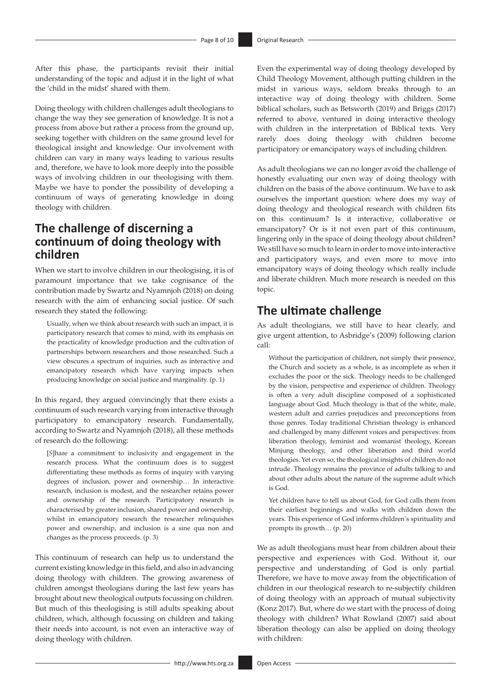After this phase, the participants revisit their initial understanding of the topic and adjust it in the light of what the 'child in the midst' shared with them.

Doing theology with children challenges adult theologians to change the way they see generation of knowledge. It is not a process from above but rather a process from the ground up, seeking together with children on the same ground level for theological insight and knowledge. Our involvement with children can vary in many ways leading to various results and, therefore, we have to look more deeply into the possible ways of involving children in our theologising with them. Maybe we have to ponder the possibility of developing a continuum of ways of generating knowledge in doing theology with children.

# **The challenge of discerning a continuum of doing theology with children**

When we start to involve children in our theologising, it is of paramount importance that we take cognisance of the contribution made by Swartz and Nyamnjoh (2018) on doing research with the aim of enhancing social justice. Of such research they stated the following:

Usually, when we think about research with such an impact, it is participatory research that comes to mind, with its emphasis on the practicality of knowledge production and the cultivation of partnerships between researchers and those researched. Such a view obscures a spectrum of inquiries, such as interactive and emancipatory research which have varying impacts when producing knowledge on social justice and marginality. (p. 1)

In this regard, they argued convincingly that there exists a continuum of such research varying from interactive through participatory to emancipatory research. Fundamentally, according to Swartz and Nyamnjoh (2018), all these methods of research do the following:

[*S*]hare a commitment to inclusivity and engagement in the research process. What the continuum does is to suggest differentiating these methods as forms of inquiry with varying degrees of inclusion, power and ownership… In interactive research, inclusion is modest, and the researcher retains power and ownership of the research. Participatory research is characterised by greater inclusion, shared power and ownership, whilst in emancipatory research the researcher relinquishes power and ownership, and inclusion is a sine qua non and changes as the process proceeds. (p. 3)

This continuum of research can help us to understand the current existing knowledge in this field, and also in advancing doing theology with children. The growing awareness of children amongst theologians during the last few years has brought about new theological outputs focussing on children. But much of this theologising is still adults speaking about children, which, although focussing on children and taking their needs into account, is not even an interactive way of doing theology with children.

Even the experimental way of doing theology developed by Child Theology Movement, although putting children in the midst in various ways, seldom breaks through to an interactive way of doing theology with children. Some biblical scholars, such as Betsworth (2019) and Briggs (2017) referred to above, ventured in doing interactive theology with children in the interpretation of Biblical texts. Very rarely does doing theology with children become participatory or emancipatory ways of including children.

As adult theologians we can no longer avoid the challenge of honestly evaluating our own way of doing theology with children on the basis of the above continuum. We have to ask ourselves the important question: where does my way of doing theology and theological research with children fits on this continuum? Is it interactive, collaborative or emancipatory? Or is it not even part of this continuum, lingering only in the space of doing theology about children? We still have so much to learn in order to move into interactive and participatory ways, and even more to move into emancipatory ways of doing theology which really include and liberate children. Much more research is needed on this topic.

### **The ultimate challenge**

As adult theologians, we still have to hear clearly, and give urgent attention, to Asbridge's (2009) following clarion call:

Without the participation of children, not simply their presence, the Church and society as a whole, is as incomplete as when it excludes the poor or the sick. Theology needs to be challenged by the vision, perspective and experience of children. Theology is often a very adult discipline composed of a sophisticated language about God. Much theology is that of the white, male, western adult and carries prejudices and preconceptions from those genres. Today traditional Christian theology is enhanced and challenged by many different voices and perspectives: from liberation theology, feminist and womanist theology, Korean Minjung theology, and other liberation and third world theologies. Yet even so, the theological insights of children do not intrude. Theology remains the province of adults talking to and about other adults about the nature of the supreme adult which is God.

Yet children have to tell us about God, for God calls them from their earliest beginnings and walks with children down the years. This experience of God informs children's spirituality and prompts its growth… (p. 20)

We as adult theologians must hear from children about their perspective and experiences with God. Without it, our perspective and understanding of God is only partial. Therefore, we have to move away from the objectification of children in our theological research to re-subjectify children of doing theology with an approach of mutual subjectivity (Konz 2017). But, where do we start with the process of doing theology with children? What Rowland (2007) said about liberation theology can also be applied on doing theology with children: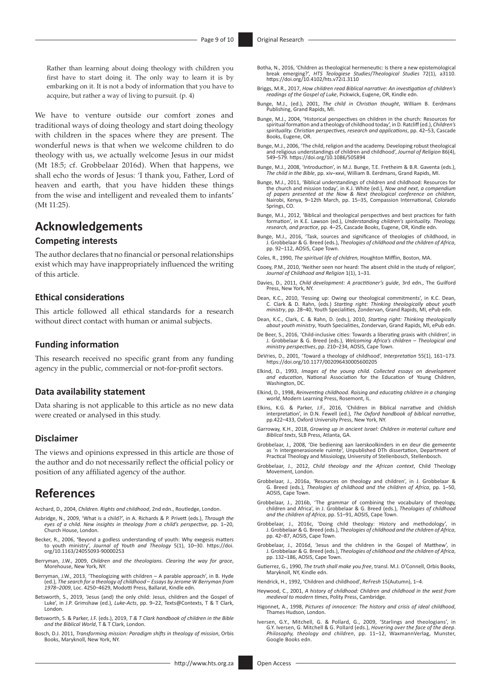Rather than learning about doing theology with children you first have to start doing it. The only way to learn it is by embarking on it. It is not a body of information that you have to acquire, but rather a way of living to pursuit. (p. 4)

We have to venture outside our comfort zones and traditional ways of doing theology and start doing theology with children in the spaces where they are present. The wonderful news is that when we welcome children to do theology with us, we actually welcome Jesus in our midst (Mt 18:5; cf. Grobbelaar 2016d). When that happens, we shall echo the words of Jesus: 'I thank you, Father, Lord of heaven and earth, that you have hidden these things from the wise and intelligent and revealed them to infants' (Mt 11:25).

### **Acknowledgements**

### **Competing interests**

The author declares that no financial or personal relationships exist which may have inappropriately influenced the writing of this article.

#### **Ethical considerations**

This article followed all ethical standards for a research without direct contact with human or animal subjects.

#### **Funding information**

This research received no specific grant from any funding agency in the public, commercial or not-for-profit sectors.

### **Data availability statement**

Data sharing is not applicable to this article as no new data were created or analysed in this study.

#### **Disclaimer**

The views and opinions expressed in this article are those of the author and do not necessarily reflect the official policy or position of any affiliated agency of the author.

### **References**

Archard, D., 2004, *Children. Rights and childhood*, 2nd edn., Routledge, London.

- Asbridge, N., 2009, 'What is a child?', in A. Richards & P. Privett (eds.), *Through the eyes of a child. New insights in theology from a child's perspective*, pp. 1–20, Church House, London.
- Becker, R., 2006, **'**Beyond a godless understanding of youth: Why exegesis matters to youth ministry', *Journal of Youth and Theology* 5(1), 10–30. [https://doi.](https://doi.org/10.1163/24055093-90000253) [org/10.1163/24055093-90000253](https://doi.org/10.1163/24055093-90000253)
- Berryman, J.W., 2009, *Children and the theologians. Clearing the way for grace*, Morehouse, New York, NY.
- Berryman, J.W., 2013, 'Theologizing with children A parable approach', in B. Hyde (ed.), *The search for a theology of childhood* – *Essays by Jerome W Berryman from 1978–2009*, Loc. 4250–4629, Modotti Press, Ballarat, Kindle edn.
- Betsworth, S., 2019, 'Jesus (and) the only child: Jesus, children and the Gospel of Luke', in J.P. Grimshaw (ed.), *Luke-Acts*, pp. 9–22, Texts@Contexts, T & T Clark, London.
- Betsworth, S. & Parker, J.F. (eds.), 2019, *T & T Clark handbook of children in the Bible and the Biblical World*, T & T Clark, London.
- Bosch, D.J. 2011, *Transforming mission: Paradigm shifts in theology of mission*, Orbis Books, Maryknoll, New York, NY.
- Botha, N., 2016, 'Children as theological hermeneutic: Is there a new epistemological break emerging?', *HTS Teologiese Studies/Theological Studies 72*(1), a3110. <https://doi.org/10.4102/hts.v72i1.3110>
- Briggs, M.R., 2017, *How children read Biblical narrative: An investigation of children's readings of the Gospel of Luke*, Pickwick, Eugene, OR, Kindle edn.
- Bunge, M.J., (ed.), 2001, *The child in Christian thought*, William B. Eerdmans Publishing, Grand Rapids, MI.
- Bunge, M.J., 2004, 'Historical perspectives on children in the church: Resources for spiritual formation and a theology of childhood today', in D. Ratcliff (ed.), *Children's spirituality. Christian perspectives, research and applications*, pp. 42–53, Cascade Books, Eugene, OR.
- Bunge, M.J., 2006, 'The child, religion and the academy. Developing robust theological and religious understandings of children and childhood', *Journal of Religion* 86(4), 549–579.<https://doi.org/10.1086/505894>
- Bunge, M.J., 2008, 'Introduction', in M.J. Bunge, T.E. Fretheim & B.R. Gaventa (eds.), *The child in the Bible*, pp. xiv–xxvi, William B. Eerdmans, Grand Rapids, MI.
- Bunge, M.J., 2011, 'Biblical understandings of children and childhood: Resources for the church and mission today', in K.J. White (ed.), *Now and next*, *a compendium of papers presented at the Now & Next theological conference on children*, Nairobi, Kenya, 9–12th March, pp. 15–35, Compassion International, Colorado Springs, CO.
- Bunge, M.J., 2012, 'Biblical and theological perspectives and best practices for faith formation', in K.E. Lawson (ed.), *Understanding children's spirituality. Theology, research, and practice*, pp. 4–25, Cascade Books, Eugene, OR, Kindle edn.
- Bunge, M.J., 2016, 'Task, sources and significance of theologies of childhood, in J. Grobbelaar & G. Breed (eds.), *Theologies of childhood and the children of Africa*, pp. 92–112, AOSIS, Cape Town.
- Coles, R., 1990, *The spiritual life of children,* Houghton Mifflin, Boston, MA.
- Cooey, P.M., 2010, 'Neither seen nor heard: The absent child in the study of religion', *Journal of Childhood and Religion* 1(1), 1–31*.*
- Davies, D., 2011, *Child development: A practitioner's guide*, 3rd edn., The Guilford Press, New York, NY.
- Dean, K.C., 2010, 'Fessing up: Owing our theological commitments', in K.C. Dean, C. Clark & D. Rahn, (eds.) *Starting right: Thinking theologically about youth ministry*, pp. 28–40, Youth Specialities, Zondervan, Grand Rapids, MI, ePub edn.
- Dean, K.C., Clark, C. & Rahn, D. (eds.), 2010, *Starting right: Thinking theologically about youth ministry*, Youth Specialities, Zondervan, Grand Rapids, MI, ePub edn.
- De Beer, S., 2016, 'Child-inclusive cities: Towards a liberating praxis with children', in J. Grobbelaar & G. Breed (eds.), *Welcoming Africa's children Theological and ministry perspectives*, pp. 210–234, AOSIS, Cape Town.
- DeVries, D., 2001, 'Toward a theology of childhood', *Interpretation* 55(1), 161–173. <https://doi.org/10.1177/002096430005600205>
- Elkind, D., 1993, *Images of the young child. Collected essays on development and education*, National Association for the Education of Young Children, Washington, DC.
- Elkind, D., 1998, *Reinventing childhood. Raising and educating children in a changing world*, Modern Learning Press, Rosemont, IL.
- Elkins, K.G. & Parker, J.F., 2016, 'Children in Biblical narrative and childish interpretation', in D.N. Fewell (ed.), *The Oxford handbook of biblical narrative*, pp.422–433, Oxford University Press, New York, NY.
- Garroway, K.H., 2018, *Growing up in ancient Israel: Children in material culture and Biblical texts*, SLB Press, Atlanta, GA.
- Grobbelaar, J., 2008, 'Die bediening aan laerskoolkinders in en deur die gemeente as 'n intergenerasionele ruimte', Unpublished DTh dissertation, Department of Practical Theology and Missiology, University of Stellenbosch, Stellenbosch.
- Grobbelaar, J., 2012, *Child theology and the African context*, Child Theology Movement, London.
- Grobbelaar, J., 2016a, 'Resources on theology and children', in J. Grobbelaar & G. Breed (eds.), *Theologies of childhood and the children of Africa*, pp. 1–50, AOSIS, Cape Town.
- Grobbelaar, J., 2016b, 'The grammar of combining the vocabulary of theology, children and Africa', in J. Grobbelaar & G. Breed (eds.), *Theologies of childhood and the children of Africa*, pp. 51–91, AOSIS, Cape Town.
- Grobbelaar, J., 2016c, 'Doing child theology: History and methodology', in J. Grobbelaar & G. Breed (eds.), *Theologies of childhood and the children of Africa*, pp. 42–87, AOSIS, Cape Town.
- Grobbelaar, J., 2016d, 'Jesus and the children in the Gospel of Matthew', in J. Grobbelaar & G. Breed (eds.), *Theologies of childhood and the children of Africa*, pp. 132–186, AOSIS, Cape Town.
- Gutierrez, G., 1990, *The truth shall make you free*, transl. M.J. O'Connell, Orbis Books, Maryknoll, NY, Kindle edn.
- Hendrick, H., 1992, 'Children and childhood', *ReFresh* 15(Autumn), 1–4.
- Heywood, C., 2001, *A history of childhood: Children and childhood in the west from medieval to modern times*, Polity Press, Cambridge.
- Higonnet, A., 1998, *Pictures of innocence: The history and crisis of ideal childhood*, Thames Hudson, London.
- Iversen, G.Y., Mitchell, G. & Pollard, G., 2009, 'Starlings and theologians', in G.Y. Iversen, G. Mitchell & G. Pollard (eds.), *Hovering over the face of the deep*. *Philosophy, theology and children*, pp. 11–12, WaxmannVerlag, Munster, Google Books edn.